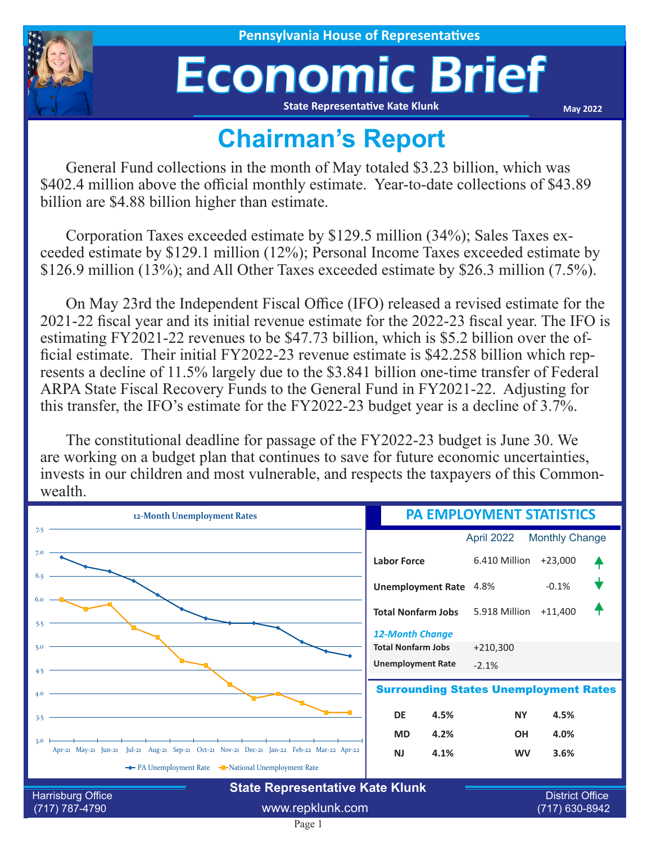

## Economic Brief **State Representative Kate Klunk**

**May 2022**

## **Chairman's Report**

General Fund collections in the month of May totaled \$3.23 billion, which was \$402.4 million above the official monthly estimate. Year-to-date collections of \$43.89 billion are \$4.88 billion higher than estimate.

Corporation Taxes exceeded estimate by \$129.5 million (34%); Sales Taxes exceeded estimate by \$129.1 million (12%); Personal Income Taxes exceeded estimate by \$126.9 million (13%); and All Other Taxes exceeded estimate by \$26.3 million (7.5%).

On May 23rd the Independent Fiscal Office (IFO) released a revised estimate for the 2021-22 fiscal year and its initial revenue estimate for the 2022-23 fiscal year. The IFO is estimating FY2021-22 revenues to be \$47.73 billion, which is \$5.2 billion over the official estimate. Their initial FY2022-23 revenue estimate is \$42.258 billion which represents a decline of 11.5% largely due to the \$3.841 billion one-time transfer of Federal ARPA State Fiscal Recovery Funds to the General Fund in FY2021-22. Adjusting for this transfer, the IFO's estimate for the FY2022-23 budget year is a decline of 3.7%.

The constitutional deadline for passage of the FY2022-23 budget is June 30. We are working on a budget plan that continues to save for future economic uncertainties, invests in our children and most vulnerable, and respects the taxpayers of this Commonwealth.

| 12-Month Unemployment Rates                                                                              | <b>PA EMPLOYMENT STATISTICS</b>                                                 |                                          |                       |  |
|----------------------------------------------------------------------------------------------------------|---------------------------------------------------------------------------------|------------------------------------------|-----------------------|--|
| 7.5                                                                                                      |                                                                                 | April 2022                               | <b>Monthly Change</b> |  |
| 7.0                                                                                                      | <b>Labor Force</b>                                                              | 6.410 Million                            | $+23,000$             |  |
| 6.5                                                                                                      | <b>Unemployment Rate</b>                                                        | 4.8%                                     | $-0.1%$               |  |
| 6.0<br>5.5                                                                                               | <b>Total Nonfarm Jobs</b>                                                       | 5.918 Million                            | $+11,400$             |  |
| 5.0                                                                                                      | <b>12-Month Change</b><br><b>Total Nonfarm Jobs</b><br><b>Unemployment Rate</b> | $+210,300$<br>$-2.1%$                    |                       |  |
| 4.5<br>4.0                                                                                               | <b>Surrounding States Unemployment Rates</b>                                    |                                          |                       |  |
| 3.5                                                                                                      | <b>DE</b><br>4.5%                                                               | <b>NY</b>                                | 4.5%                  |  |
| 3.0<br>Apr-21 May-21 Jun-21 Jul-21 Aug-21 Sep-21 Oct-21 Nov-21 Dec-21 Jan-22 Feb-22 Mar-22 Apr-22        | 4.2%<br><b>MD</b>                                                               | <b>OH</b>                                | 4.0%                  |  |
| The PA Unemployment Rate The National Unemployment Rate                                                  | <b>NJ</b><br>4.1%                                                               | <b>WV</b>                                | 3.6%                  |  |
| <b>State Representative Kate Klunk</b><br><b>Harrisburg Office</b><br>www.repklunk.com<br>(717) 787-4790 |                                                                                 | <b>District Office</b><br>(717) 630-8942 |                       |  |